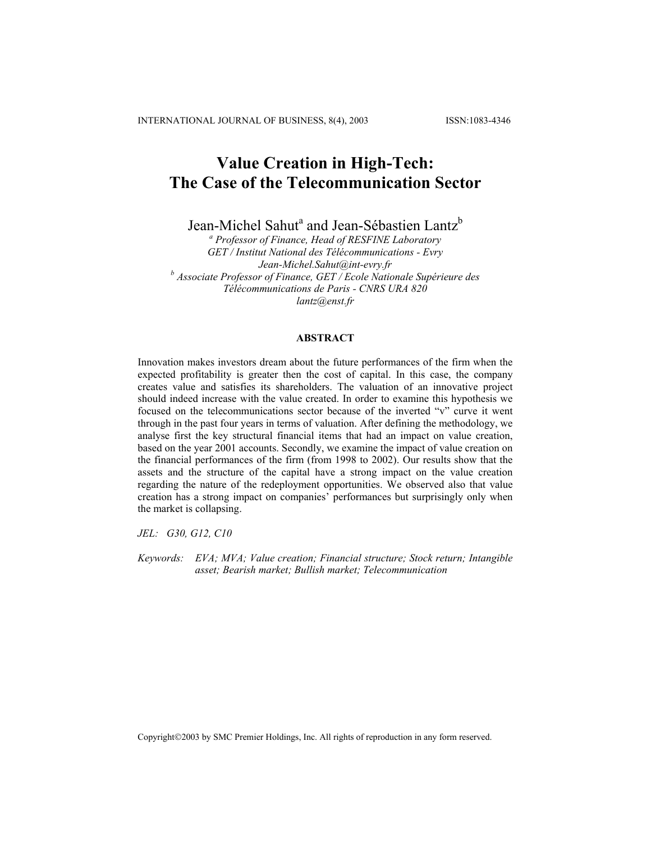INTERNATIONAL JOURNAL OF BUSINESS, 8(4), 2003 ISSN:1083-4346

# **Value Creation in High-Tech: The Case of the Telecommunication Sector**

Jean-Michel Sahut<sup>a</sup> and Jean-Sébastien Lantz<sup>b</sup>

*a Professor of Finance, Head of RESFINE Laboratory GET / Institut National des Télécommunications - Evry Jean-Michel.Sahut@int-evry.fr <sup>b</sup> Associate Professor of Finance, GET / Ecole Nationale Supérieure des Télécommunications de Paris - CNRS URA 820 lantz@enst.fr* 

#### **ABSTRACT**

Innovation makes investors dream about the future performances of the firm when the expected profitability is greater then the cost of capital. In this case, the company creates value and satisfies its shareholders. The valuation of an innovative project should indeed increase with the value created. In order to examine this hypothesis we focused on the telecommunications sector because of the inverted "v" curve it went through in the past four years in terms of valuation. After defining the methodology, we analyse first the key structural financial items that had an impact on value creation, based on the year 2001 accounts. Secondly, we examine the impact of value creation on the financial performances of the firm (from 1998 to 2002). Our results show that the assets and the structure of the capital have a strong impact on the value creation regarding the nature of the redeployment opportunities. We observed also that value creation has a strong impact on companies' performances but surprisingly only when the market is collapsing.

*JEL: G30, G12, C10* 

*Keywords: EVA; MVA; Value creation; Financial structure; Stock return; Intangible asset; Bearish market; Bullish market; Telecommunication* 

Copyright©2003 by SMC Premier Holdings, Inc. All rights of reproduction in any form reserved.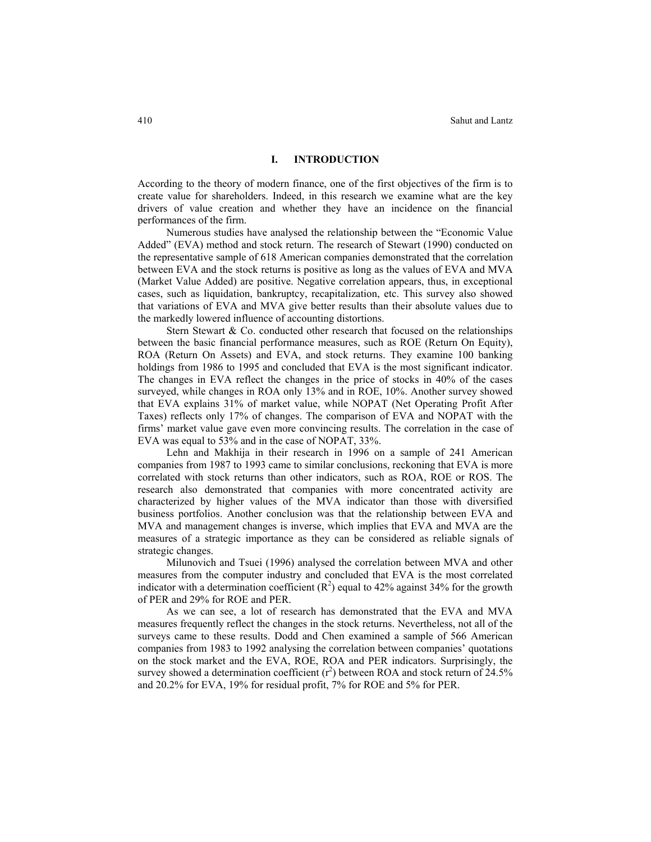#### **I. INTRODUCTION**

According to the theory of modern finance, one of the first objectives of the firm is to create value for shareholders. Indeed, in this research we examine what are the key drivers of value creation and whether they have an incidence on the financial performances of the firm.

Numerous studies have analysed the relationship between the "Economic Value Added" (EVA) method and stock return. The research of Stewart (1990) conducted on the representative sample of 618 American companies demonstrated that the correlation between EVA and the stock returns is positive as long as the values of EVA and MVA (Market Value Added) are positive. Negative correlation appears, thus, in exceptional cases, such as liquidation, bankruptcy, recapitalization, etc. This survey also showed that variations of EVA and MVA give better results than their absolute values due to the markedly lowered influence of accounting distortions.

Stern Stewart & Co. conducted other research that focused on the relationships between the basic financial performance measures, such as ROE (Return On Equity), ROA (Return On Assets) and EVA, and stock returns. They examine 100 banking holdings from 1986 to 1995 and concluded that EVA is the most significant indicator. The changes in EVA reflect the changes in the price of stocks in 40% of the cases surveyed, while changes in ROA only 13% and in ROE, 10%. Another survey showed that EVA explains 31% of market value, while NOPAT (Net Operating Profit After Taxes) reflects only 17% of changes. The comparison of EVA and NOPAT with the firms' market value gave even more convincing results. The correlation in the case of EVA was equal to 53% and in the case of NOPAT, 33%.

Lehn and Makhija in their research in 1996 on a sample of 241 American companies from 1987 to 1993 came to similar conclusions, reckoning that EVA is more correlated with stock returns than other indicators, such as ROA, ROE or ROS. The research also demonstrated that companies with more concentrated activity are characterized by higher values of the MVA indicator than those with diversified business portfolios. Another conclusion was that the relationship between EVA and MVA and management changes is inverse, which implies that EVA and MVA are the measures of a strategic importance as they can be considered as reliable signals of strategic changes.

Milunovich and Tsuei (1996) analysed the correlation between MVA and other measures from the computer industry and concluded that EVA is the most correlated indicator with a determination coefficient  $(R^2)$  equal to 42% against 34% for the growth of PER and 29% for ROE and PER.

As we can see, a lot of research has demonstrated that the EVA and MVA measures frequently reflect the changes in the stock returns. Nevertheless, not all of the surveys came to these results. Dodd and Chen examined a sample of 566 American companies from 1983 to 1992 analysing the correlation between companies' quotations on the stock market and the EVA, ROE, ROA and PER indicators. Surprisingly, the survey showed a determination coefficient  $(r^2)$  between ROA and stock return of 24.5% and 20.2% for EVA, 19% for residual profit, 7% for ROE and 5% for PER.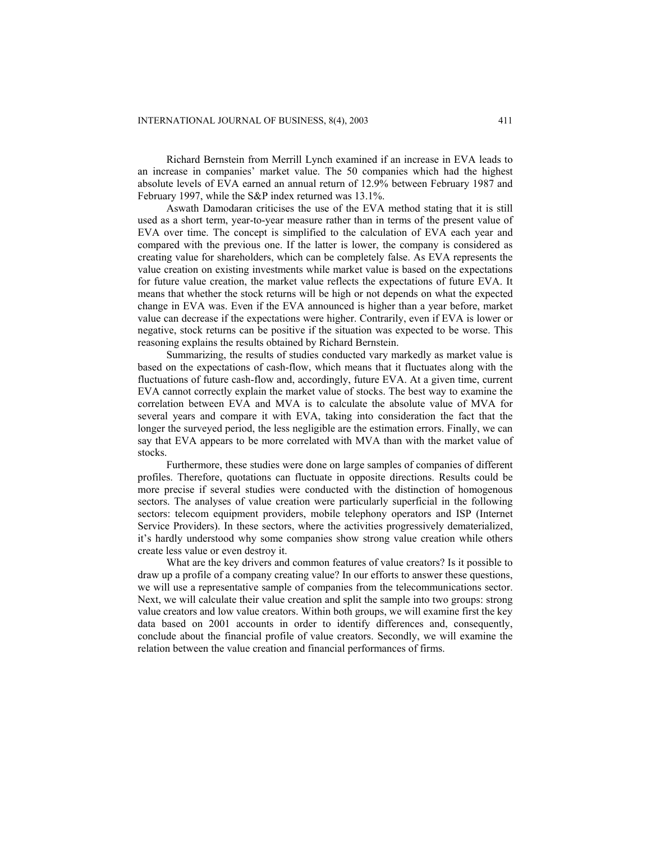Richard Bernstein from Merrill Lynch examined if an increase in EVA leads to an increase in companies' market value. The 50 companies which had the highest absolute levels of EVA earned an annual return of 12.9% between February 1987 and February 1997, while the S&P index returned was 13.1%.

Aswath Damodaran criticises the use of the EVA method stating that it is still used as a short term, year-to-year measure rather than in terms of the present value of EVA over time. The concept is simplified to the calculation of EVA each year and compared with the previous one. If the latter is lower, the company is considered as creating value for shareholders, which can be completely false. As EVA represents the value creation on existing investments while market value is based on the expectations for future value creation, the market value reflects the expectations of future EVA. It means that whether the stock returns will be high or not depends on what the expected change in EVA was. Even if the EVA announced is higher than a year before, market value can decrease if the expectations were higher. Contrarily, even if EVA is lower or negative, stock returns can be positive if the situation was expected to be worse. This reasoning explains the results obtained by Richard Bernstein.

Summarizing, the results of studies conducted vary markedly as market value is based on the expectations of cash-flow, which means that it fluctuates along with the fluctuations of future cash-flow and, accordingly, future EVA. At a given time, current EVA cannot correctly explain the market value of stocks. The best way to examine the correlation between EVA and MVA is to calculate the absolute value of MVA for several years and compare it with EVA, taking into consideration the fact that the longer the surveyed period, the less negligible are the estimation errors. Finally, we can say that EVA appears to be more correlated with MVA than with the market value of stocks.

Furthermore, these studies were done on large samples of companies of different profiles. Therefore, quotations can fluctuate in opposite directions. Results could be more precise if several studies were conducted with the distinction of homogenous sectors. The analyses of value creation were particularly superficial in the following sectors: telecom equipment providers, mobile telephony operators and ISP (Internet Service Providers). In these sectors, where the activities progressively dematerialized, it's hardly understood why some companies show strong value creation while others create less value or even destroy it.

What are the key drivers and common features of value creators? Is it possible to draw up a profile of a company creating value? In our efforts to answer these questions, we will use a representative sample of companies from the telecommunications sector. Next, we will calculate their value creation and split the sample into two groups: strong value creators and low value creators. Within both groups, we will examine first the key data based on 2001 accounts in order to identify differences and, consequently, conclude about the financial profile of value creators. Secondly, we will examine the relation between the value creation and financial performances of firms.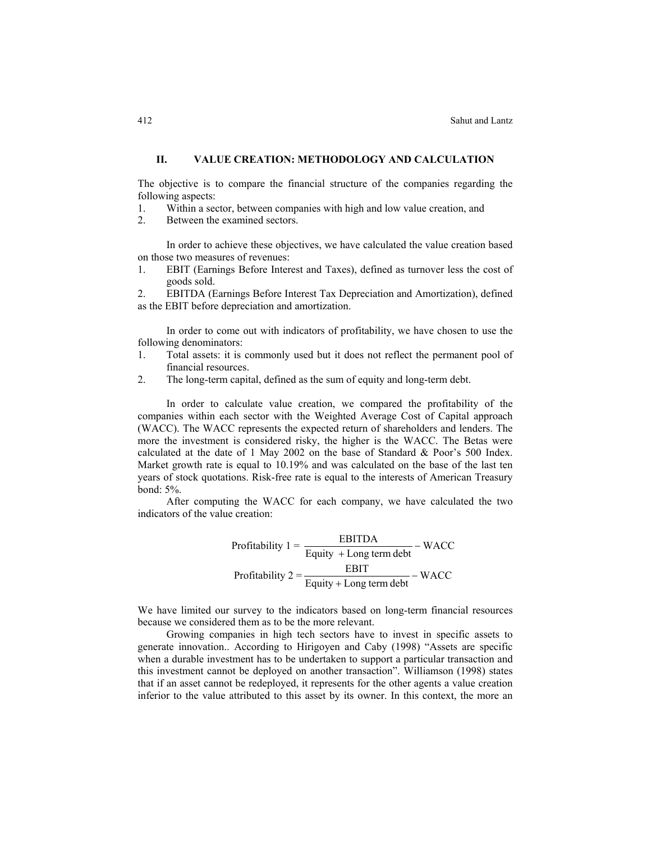### **II. VALUE CREATION: METHODOLOGY AND CALCULATION**

The objective is to compare the financial structure of the companies regarding the following aspects:

- 1. Within a sector, between companies with high and low value creation, and
- 2. Between the examined sectors.

In order to achieve these objectives, we have calculated the value creation based on those two measures of revenues:

1. EBIT (Earnings Before Interest and Taxes), defined as turnover less the cost of goods sold.

2. EBITDA (Earnings Before Interest Tax Depreciation and Amortization), defined as the EBIT before depreciation and amortization.

In order to come out with indicators of profitability, we have chosen to use the following denominators:

- 1. Total assets: it is commonly used but it does not reflect the permanent pool of financial resources.
- 2. The long-term capital, defined as the sum of equity and long-term debt.

In order to calculate value creation, we compared the profitability of the companies within each sector with the Weighted Average Cost of Capital approach (WACC). The WACC represents the expected return of shareholders and lenders. The more the investment is considered risky, the higher is the WACC. The Betas were calculated at the date of 1 May 2002 on the base of Standard & Poor's 500 Index. Market growth rate is equal to 10.19% and was calculated on the base of the last ten years of stock quotations. Risk-free rate is equal to the interests of American Treasury bond: 5%.

After computing the WACC for each company, we have calculated the two indicators of the value creation:

Profitability 
$$
1 = \frac{EBITDA}{Equity + Long term debt} - WACC
$$
  
Profitability  $2 = \frac{EBIT}{Equity + Long term debt} - WACC$ 

We have limited our survey to the indicators based on long-term financial resources because we considered them as to be the more relevant.

Growing companies in high tech sectors have to invest in specific assets to generate innovation.. According to Hirigoyen and Caby (1998) "Assets are specific when a durable investment has to be undertaken to support a particular transaction and this investment cannot be deployed on another transaction". Williamson (1998) states that if an asset cannot be redeployed, it represents for the other agents a value creation inferior to the value attributed to this asset by its owner. In this context, the more an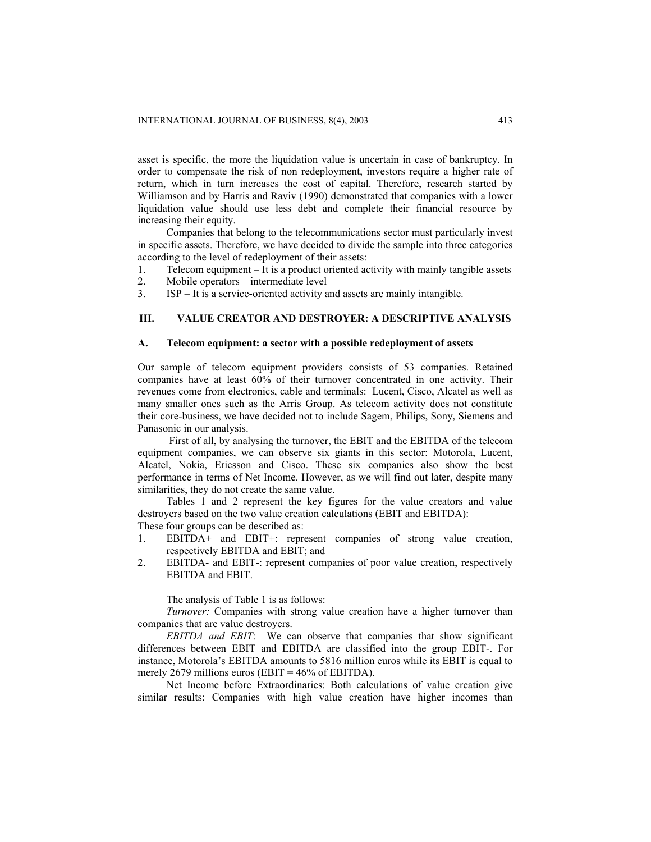asset is specific, the more the liquidation value is uncertain in case of bankruptcy. In order to compensate the risk of non redeployment, investors require a higher rate of return, which in turn increases the cost of capital. Therefore, research started by Williamson and by Harris and Raviv (1990) demonstrated that companies with a lower liquidation value should use less debt and complete their financial resource by increasing their equity.

Companies that belong to the telecommunications sector must particularly invest in specific assets. Therefore, we have decided to divide the sample into three categories according to the level of redeployment of their assets:

1. Telecom equipment – It is a product oriented activity with mainly tangible assets

- 2. Mobile operators intermediate level
- 3. ISP It is a service-oriented activity and assets are mainly intangible.

# **III. VALUE CREATOR AND DESTROYER: A DESCRIPTIVE ANALYSIS**

#### **A. Telecom equipment: a sector with a possible redeployment of assets**

Our sample of telecom equipment providers consists of 53 companies. Retained companies have at least 60% of their turnover concentrated in one activity. Their revenues come from electronics, cable and terminals: Lucent, Cisco, Alcatel as well as many smaller ones such as the Arris Group. As telecom activity does not constitute their core-business, we have decided not to include Sagem, Philips, Sony, Siemens and Panasonic in our analysis.

 First of all, by analysing the turnover, the EBIT and the EBITDA of the telecom equipment companies, we can observe six giants in this sector: Motorola, Lucent, Alcatel, Nokia, Ericsson and Cisco. These six companies also show the best performance in terms of Net Income. However, as we will find out later, despite many similarities, they do not create the same value.

Tables 1 and 2 represent the key figures for the value creators and value destroyers based on the two value creation calculations (EBIT and EBITDA): These four groups can be described as:

- 1. EBITDA+ and EBIT+: represent companies of strong value creation, respectively EBITDA and EBIT; and
- 2. EBITDA- and EBIT-: represent companies of poor value creation, respectively EBITDA and EBIT.

The analysis of Table 1 is as follows:

*Turnover:* Companies with strong value creation have a higher turnover than companies that are value destroyers.

*EBITDA and EBIT*: We can observe that companies that show significant differences between EBIT and EBITDA are classified into the group EBIT-. For instance, Motorola's EBITDA amounts to 5816 million euros while its EBIT is equal to merely 2679 millions euros (EBIT =  $46\%$  of EBITDA).

Net Income before Extraordinaries: Both calculations of value creation give similar results: Companies with high value creation have higher incomes than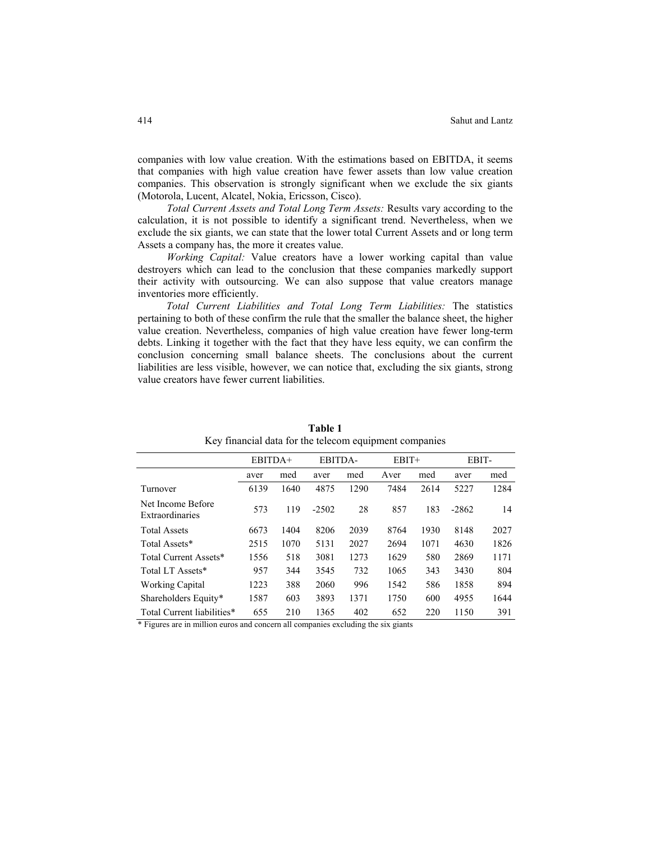companies with low value creation. With the estimations based on EBITDA, it seems that companies with high value creation have fewer assets than low value creation companies. This observation is strongly significant when we exclude the six giants (Motorola, Lucent, Alcatel, Nokia, Ericsson, Cisco).

*Total Current Assets and Total Long Term Assets:* Results vary according to the calculation, it is not possible to identify a significant trend. Nevertheless, when we exclude the six giants, we can state that the lower total Current Assets and or long term Assets a company has, the more it creates value.

*Working Capital:* Value creators have a lower working capital than value destroyers which can lead to the conclusion that these companies markedly support their activity with outsourcing. We can also suppose that value creators manage inventories more efficiently.

*Total Current Liabilities and Total Long Term Liabilities:* The statistics pertaining to both of these confirm the rule that the smaller the balance sheet, the higher value creation. Nevertheless, companies of high value creation have fewer long-term debts. Linking it together with the fact that they have less equity, we can confirm the conclusion concerning small balance sheets. The conclusions about the current liabilities are less visible, however, we can notice that, excluding the six giants, strong value creators have fewer current liabilities.

|                                      | EBITDA+ |      | EBITDA- |      | $EBIT+$ |      | EBIT-   |      |
|--------------------------------------|---------|------|---------|------|---------|------|---------|------|
|                                      | aver    | med  | aver    | med  | Aver    | med  | aver    | med  |
| Turnover                             | 6139    | 1640 | 4875    | 1290 | 7484    | 2614 | 5227    | 1284 |
| Net Income Before<br>Extraordinaries | 573     | 119  | $-2502$ | 28   | 857     | 183  | $-2862$ | 14   |
| <b>Total Assets</b>                  | 6673    | 1404 | 8206    | 2039 | 8764    | 1930 | 8148    | 2027 |
| Total Assets*                        | 2515    | 1070 | 5131    | 2027 | 2694    | 1071 | 4630    | 1826 |
| Total Current Assets*                | 1556    | 518  | 3081    | 1273 | 1629    | 580  | 2869    | 1171 |
| Total LT Assets*                     | 957     | 344  | 3545    | 732  | 1065    | 343  | 3430    | 804  |
| <b>Working Capital</b>               | 1223    | 388  | 2060    | 996  | 1542    | 586  | 1858    | 894  |
| Shareholders Equity*                 | 1587    | 603  | 3893    | 1371 | 1750    | 600  | 4955    | 1644 |
| Total Current liabilities*           | 655     | 210  | 1365    | 402  | 652     | 220  | 1150    | 391  |
|                                      |         |      |         |      |         |      |         |      |

**Table 1** Key financial data for the telecom equipment companies

\* Figures are in million euros and concern all companies excluding the six giants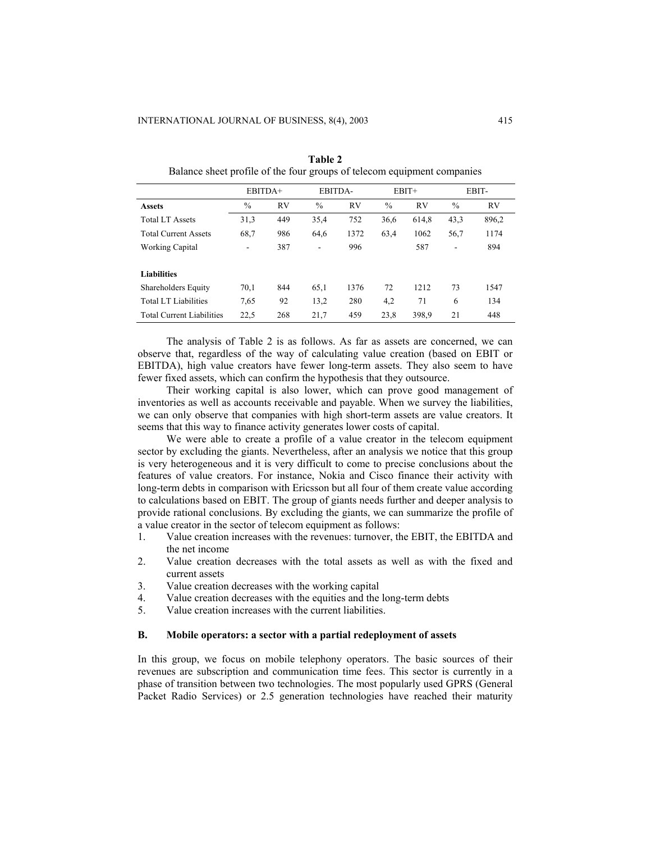|                                  | EBITDA+                  |           | EBITDA-                  |      | $EBIT+$       |           | EBIT- |           |
|----------------------------------|--------------------------|-----------|--------------------------|------|---------------|-----------|-------|-----------|
| <b>Assets</b>                    | $\frac{0}{0}$            | <b>RV</b> | $\%$                     | RV   | $\frac{0}{0}$ | <b>RV</b> | $\%$  | <b>RV</b> |
| <b>Total LT Assets</b>           | 31,3                     | 449       | 35,4                     | 752  | 36,6          | 614,8     | 43,3  | 896,2     |
| <b>Total Current Assets</b>      | 68,7                     | 986       | 64,6                     | 1372 | 63,4          | 1062      | 56,7  | 1174      |
| <b>Working Capital</b>           | $\overline{\phantom{a}}$ | 387       | $\overline{\phantom{0}}$ | 996  |               | 587       | ۰     | 894       |
| <b>Liabilities</b>               |                          |           |                          |      |               |           |       |           |
| Shareholders Equity              | 70,1                     | 844       | 65,1                     | 1376 | 72            | 1212      | 73    | 1547      |
| Total LT Liabilities             | 7.65                     | 92        | 13,2                     | 280  | 4,2           | 71        | 6     | 134       |
| <b>Total Current Liabilities</b> | 22,5                     | 268       | 21,7                     | 459  | 23,8          | 398.9     | 21    | 448       |

**Table 2**  Balance sheet profile of the four groups of telecom equipment companies

The analysis of Table 2 is as follows. As far as assets are concerned, we can observe that, regardless of the way of calculating value creation (based on EBIT or EBITDA), high value creators have fewer long-term assets. They also seem to have fewer fixed assets, which can confirm the hypothesis that they outsource.

Their working capital is also lower, which can prove good management of inventories as well as accounts receivable and payable. When we survey the liabilities, we can only observe that companies with high short-term assets are value creators. It seems that this way to finance activity generates lower costs of capital.

We were able to create a profile of a value creator in the telecom equipment sector by excluding the giants. Nevertheless, after an analysis we notice that this group is very heterogeneous and it is very difficult to come to precise conclusions about the features of value creators. For instance, Nokia and Cisco finance their activity with long-term debts in comparison with Ericsson but all four of them create value according to calculations based on EBIT. The group of giants needs further and deeper analysis to provide rational conclusions. By excluding the giants, we can summarize the profile of a value creator in the sector of telecom equipment as follows:

- 1. Value creation increases with the revenues: turnover, the EBIT, the EBITDA and the net income
- 2. Value creation decreases with the total assets as well as with the fixed and current assets
- 3. Value creation decreases with the working capital
- 4. Value creation decreases with the equities and the long-term debts
- 5. Value creation increases with the current liabilities.

#### **B. Mobile operators: a sector with a partial redeployment of assets**

In this group, we focus on mobile telephony operators. The basic sources of their revenues are subscription and communication time fees. This sector is currently in a phase of transition between two technologies. The most popularly used GPRS (General Packet Radio Services) or 2.5 generation technologies have reached their maturity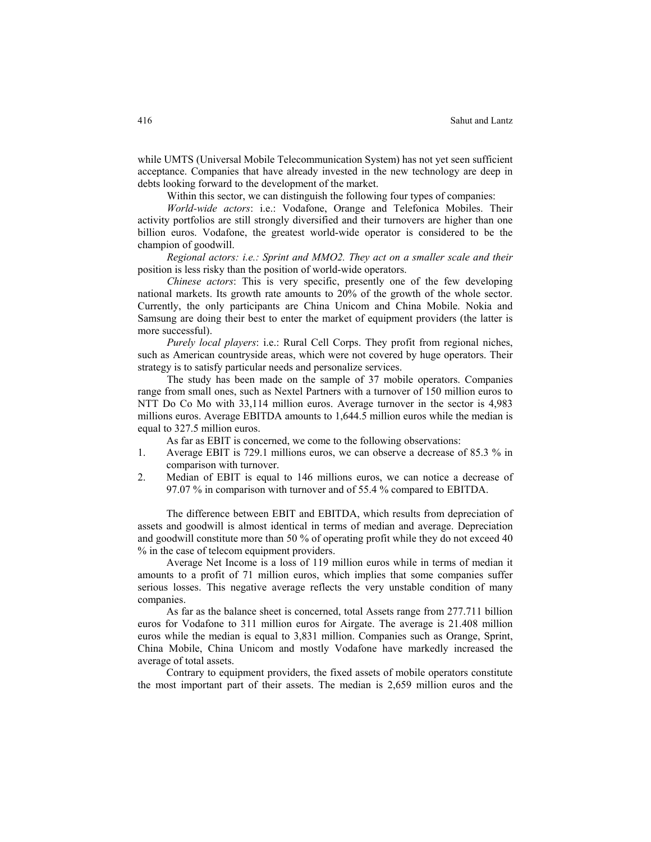while UMTS (Universal Mobile Telecommunication System) has not yet seen sufficient acceptance. Companies that have already invested in the new technology are deep in debts looking forward to the development of the market.

Within this sector, we can distinguish the following four types of companies:

*World-wide actors*: i.e.: Vodafone, Orange and Telefonica Mobiles. Their activity portfolios are still strongly diversified and their turnovers are higher than one billion euros. Vodafone, the greatest world-wide operator is considered to be the champion of goodwill.

*Regional actors: i.e.: Sprint and MMO2. They act on a smaller scale and their* position is less risky than the position of world-wide operators.

*Chinese actors*: This is very specific, presently one of the few developing national markets. Its growth rate amounts to 20% of the growth of the whole sector. Currently, the only participants are China Unicom and China Mobile. Nokia and Samsung are doing their best to enter the market of equipment providers (the latter is more successful).

*Purely local players*: i.e.: Rural Cell Corps. They profit from regional niches, such as American countryside areas, which were not covered by huge operators. Their strategy is to satisfy particular needs and personalize services.

The study has been made on the sample of 37 mobile operators. Companies range from small ones, such as Nextel Partners with a turnover of 150 million euros to NTT Do Co Mo with 33,114 million euros. Average turnover in the sector is 4,983 millions euros. Average EBITDA amounts to 1,644.5 million euros while the median is equal to 327.5 million euros.

As far as EBIT is concerned, we come to the following observations:

- 1. Average EBIT is 729.1 millions euros, we can observe a decrease of 85.3 % in comparison with turnover.
- 2. Median of EBIT is equal to 146 millions euros, we can notice a decrease of 97.07 % in comparison with turnover and of 55.4 % compared to EBITDA.

The difference between EBIT and EBITDA, which results from depreciation of assets and goodwill is almost identical in terms of median and average. Depreciation and goodwill constitute more than 50 % of operating profit while they do not exceed 40 % in the case of telecom equipment providers.

Average Net Income is a loss of 119 million euros while in terms of median it amounts to a profit of 71 million euros, which implies that some companies suffer serious losses. This negative average reflects the very unstable condition of many companies.

As far as the balance sheet is concerned, total Assets range from 277.711 billion euros for Vodafone to 311 million euros for Airgate. The average is 21.408 million euros while the median is equal to 3,831 million. Companies such as Orange, Sprint, China Mobile, China Unicom and mostly Vodafone have markedly increased the average of total assets.

Contrary to equipment providers, the fixed assets of mobile operators constitute the most important part of their assets. The median is 2,659 million euros and the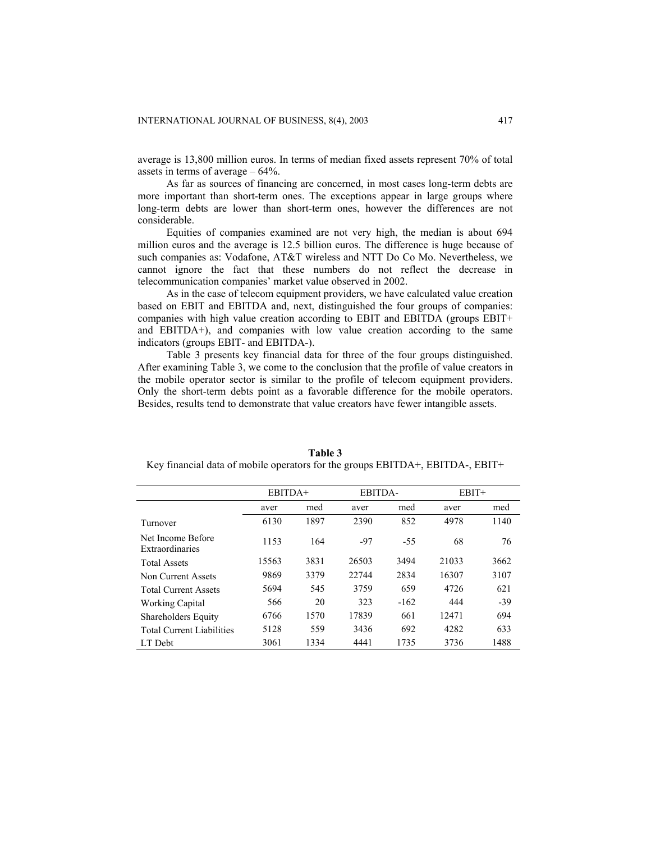average is 13,800 million euros. In terms of median fixed assets represent 70% of total assets in terms of average – 64%.

As far as sources of financing are concerned, in most cases long-term debts are more important than short-term ones. The exceptions appear in large groups where long-term debts are lower than short-term ones, however the differences are not considerable.

Equities of companies examined are not very high, the median is about 694 million euros and the average is 12.5 billion euros. The difference is huge because of such companies as: Vodafone, AT&T wireless and NTT Do Co Mo. Nevertheless, we cannot ignore the fact that these numbers do not reflect the decrease in telecommunication companies' market value observed in 2002.

As in the case of telecom equipment providers, we have calculated value creation based on EBIT and EBITDA and, next, distinguished the four groups of companies: companies with high value creation according to EBIT and EBITDA (groups EBIT+ and EBITDA+), and companies with low value creation according to the same indicators (groups EBIT- and EBITDA-).

Table 3 presents key financial data for three of the four groups distinguished. After examining Table 3, we come to the conclusion that the profile of value creators in the mobile operator sector is similar to the profile of telecom equipment providers. Only the short-term debts point as a favorable difference for the mobile operators. Besides, results tend to demonstrate that value creators have fewer intangible assets.

|                                      | EBITDA+ |      | EBITDA- |        | $EBIT+$ |       |
|--------------------------------------|---------|------|---------|--------|---------|-------|
|                                      | aver    | med  | aver    | med    | aver    | med   |
| Turnover                             | 6130    | 1897 | 2390    | 852    | 4978    | 1140  |
| Net Income Before<br>Extraordinaries | 1153    | 164  | $-97$   | $-55$  | 68      | 76    |
| <b>Total Assets</b>                  | 15563   | 3831 | 26503   | 3494   | 21033   | 3662  |
| Non Current Assets                   | 9869    | 3379 | 22744   | 2834   | 16307   | 3107  |
| <b>Total Current Assets</b>          | 5694    | 545  | 3759    | 659    | 4726    | 621   |
| Working Capital                      | 566     | 20   | 323     | $-162$ | 444     | $-39$ |
| <b>Shareholders Equity</b>           | 6766    | 1570 | 17839   | 661    | 12471   | 694   |
| <b>Total Current Liabilities</b>     | 5128    | 559  | 3436    | 692    | 4282    | 633   |
| LT Debt                              | 3061    | 1334 | 4441    | 1735   | 3736    | 1488  |

**Table 3**  Key financial data of mobile operators for the groups EBITDA+, EBITDA-, EBIT+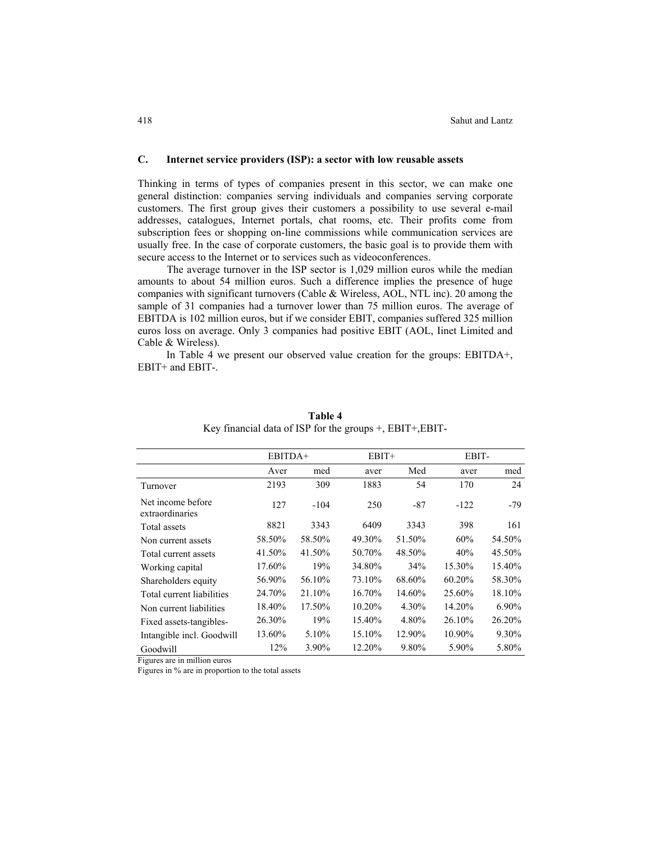#### **C. Internet service providers (ISP): a sector with low reusable assets**

Thinking in terms of types of companies present in this sector, we can make one general distinction: companies serving individuals and companies serving corporate customers. The first group gives their customers a possibility to use several e-mail addresses, catalogues, Internet portals, chat rooms, etc. Their profits come from subscription fees or shopping on-line commissions while communication services are usually free. In the case of corporate customers, the basic goal is to provide them with secure access to the Internet or to services such as videoconferences.

The average turnover in the ISP sector is 1,029 million euros while the median amounts to about 54 million euros. Such a difference implies the presence of huge companies with significant turnovers (Cable  $\&$  Wireless, AOL, NTL inc). 20 among the sample of 31 companies had a turnover lower than 75 million euros. The average of EBITDA is 102 million euros, but if we consider EBIT, companies suffered 325 million euros loss on average. Only 3 companies had positive EBIT (AOL, Iinet Limited and Cable & Wireless).

In Table 4 we present our observed value creation for the groups: EBITDA+, EBIT+ and EBIT-.

|                                      | EBITDA+ |        | $EBIT+$ |        | EBIT-  |        |  |
|--------------------------------------|---------|--------|---------|--------|--------|--------|--|
|                                      | Aver    | med    | aver    | Med    | aver   | med    |  |
| Turnover                             | 2193    | 309    | 1883    | 54     | 170    | 24     |  |
| Net income before<br>extraordinaries | 127     | $-104$ | 250     | $-87$  | $-122$ | $-79$  |  |
| Total assets                         | 8821    | 3343   | 6409    | 3343   | 398    | 161    |  |
| Non current assets                   | 58.50%  | 58.50% | 49.30%  | 51.50% | 60%    | 54.50% |  |
| Total current assets                 | 41.50%  | 41.50% | 50.70%  | 48.50% | 40%    | 45.50% |  |
| Working capital                      | 17.60%  | 19%    | 34.80%  | 34%    | 15.30% | 15.40% |  |
| Shareholders equity                  | 56.90%  | 56.10% | 73.10%  | 68.60% | 60.20% | 58.30% |  |
| Total current liabilities            | 24.70%  | 21.10% | 16.70%  | 14.60% | 25.60% | 18.10% |  |
| Non current liabilities              | 18.40%  | 17.50% | 10.20%  | 4.30%  | 14.20% | 6.90%  |  |
| Fixed assets-tangibles-              | 26.30%  | 19%    | 15.40%  | 4.80%  | 26.10% | 26.20% |  |
| Intangible incl. Goodwill            | 13.60%  | 5.10%  | 15.10%  | 12.90% | 10.90% | 9.30%  |  |
| Goodwill                             | 12%     | 3.90%  | 12.20%  | 9.80%  | 5.90%  | 5.80%  |  |

**Table 4** Key financial data of ISP for the groups +, EBIT+,EBIT-

Figures are in million euros

Figures in % are in proportion to the total assets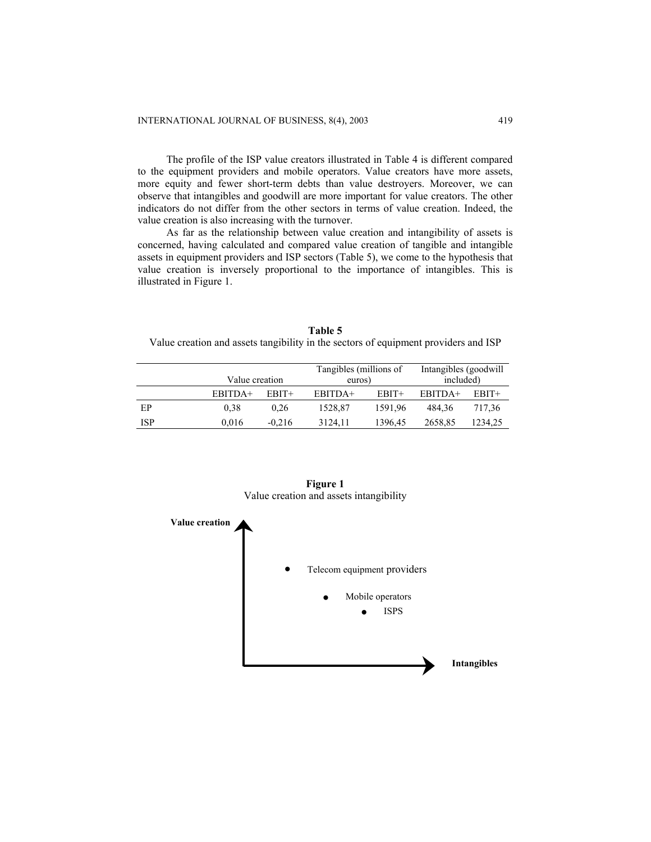The profile of the ISP value creators illustrated in Table 4 is different compared to the equipment providers and mobile operators. Value creators have more assets, more equity and fewer short-term debts than value destroyers. Moreover, we can observe that intangibles and goodwill are more important for value creators. The other indicators do not differ from the other sectors in terms of value creation. Indeed, the value creation is also increasing with the turnover.

As far as the relationship between value creation and intangibility of assets is concerned, having calculated and compared value creation of tangible and intangible assets in equipment providers and ISP sectors (Table 5), we come to the hypothesis that value creation is inversely proportional to the importance of intangibles. This is illustrated in Figure 1.

**Table 5** Value creation and assets tangibility in the sectors of equipment providers and ISP

|            | Value creation |          | Tangibles (millions of<br>euros) |         | Intangibles (goodwill)<br>included) |         |  |
|------------|----------------|----------|----------------------------------|---------|-------------------------------------|---------|--|
|            | EBITDA+        | $EBIT+$  | EBITDA+                          | EBIT+   | EBITDA+                             | EBIT+   |  |
| ЕP         | 0.38           | 0.26     | 1528.87                          | 1591.96 | 484.36                              | 717.36  |  |
| <b>ISP</b> | 0.016          | $-0.216$ | 3124.11                          | 1396.45 | 2658,85                             | 1234.25 |  |



**Figure 1**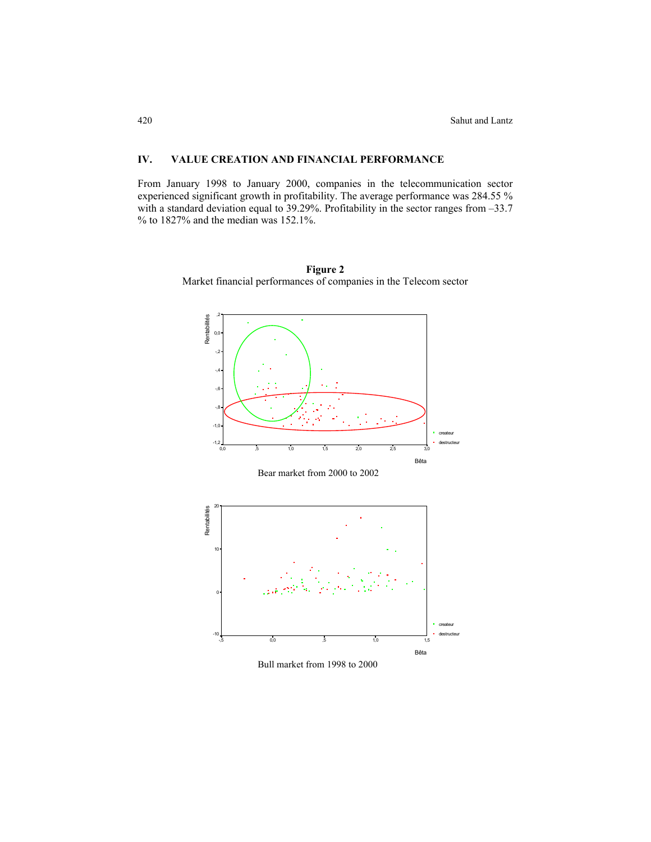# **IV. VALUE CREATION AND FINANCIAL PERFORMANCE**

From January 1998 to January 2000, companies in the telecommunication sector experienced significant growth in profitability. The average performance was 284.55 % with a standard deviation equal to 39.29%. Profitability in the sector ranges from –33.7 % to 1827% and the median was 152.1%.



**Figure 2**  Market financial performances of companies in the Telecom sector





Bull market from 1998 to 2000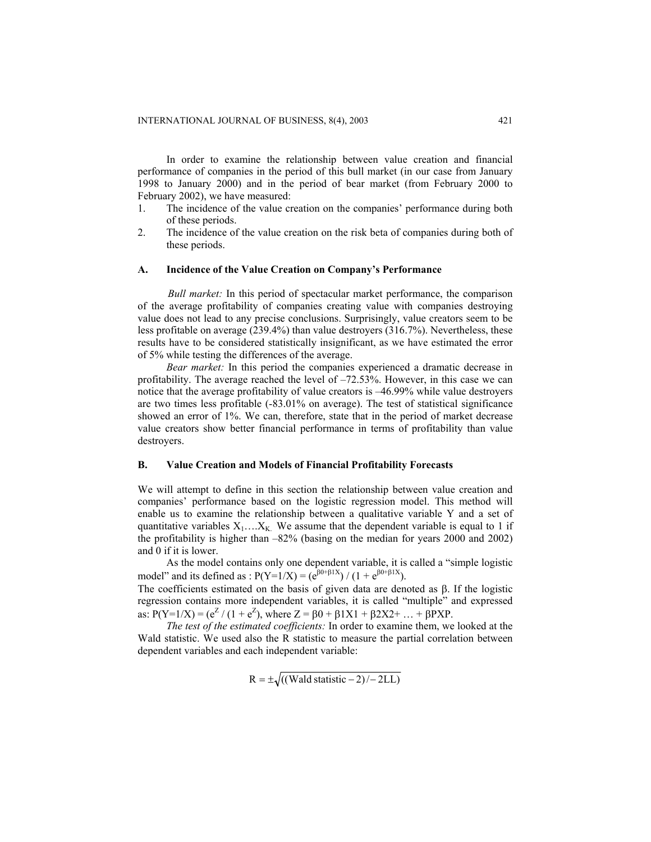In order to examine the relationship between value creation and financial performance of companies in the period of this bull market (in our case from January 1998 to January 2000) and in the period of bear market (from February 2000 to February 2002), we have measured:

- 1. The incidence of the value creation on the companies' performance during both of these periods.
- 2. The incidence of the value creation on the risk beta of companies during both of these periods.

#### **A. Incidence of the Value Creation on Company's Performance**

*Bull market:* In this period of spectacular market performance, the comparison of the average profitability of companies creating value with companies destroying value does not lead to any precise conclusions. Surprisingly, value creators seem to be less profitable on average (239.4%) than value destroyers (316.7%). Nevertheless, these results have to be considered statistically insignificant, as we have estimated the error of 5% while testing the differences of the average.

*Bear market:* In this period the companies experienced a dramatic decrease in profitability. The average reached the level of –72.53%. However, in this case we can notice that the average profitability of value creators is –46.99% while value destroyers are two times less profitable (-83.01% on average). The test of statistical significance showed an error of 1%. We can, therefore, state that in the period of market decrease value creators show better financial performance in terms of profitability than value destroyers.

#### **B. Value Creation and Models of Financial Profitability Forecasts**

We will attempt to define in this section the relationship between value creation and companies' performance based on the logistic regression model. This method will enable us to examine the relationship between a qualitative variable Y and a set of quantitative variables  $X_1$ …. $X_K$ . We assume that the dependent variable is equal to 1 if the profitability is higher than –82% (basing on the median for years 2000 and 2002) and 0 if it is lower.

As the model contains only one dependent variable, it is called a "simple logistic model" and its defined as :  $P(Y=1/X) = (e^{[30 + \beta 1X]}) / (1 + e^{[30 + \beta 1X]})$ .

The coefficients estimated on the basis of given data are denoted as β. If the logistic regression contains more independent variables, it is called "multiple" and expressed as:  $P(Y=1/X) = (e^Z / (1 + e^Z))$ , where  $Z = \beta 0 + \beta 1X1 + \beta 2X2 + ... + \beta PXP$ .

*The test of the estimated coefficients:* In order to examine them, we looked at the Wald statistic. We used also the R statistic to measure the partial correlation between dependent variables and each independent variable:

$$
R = \pm \sqrt{((Wald statistic - 2)/-2LL)}
$$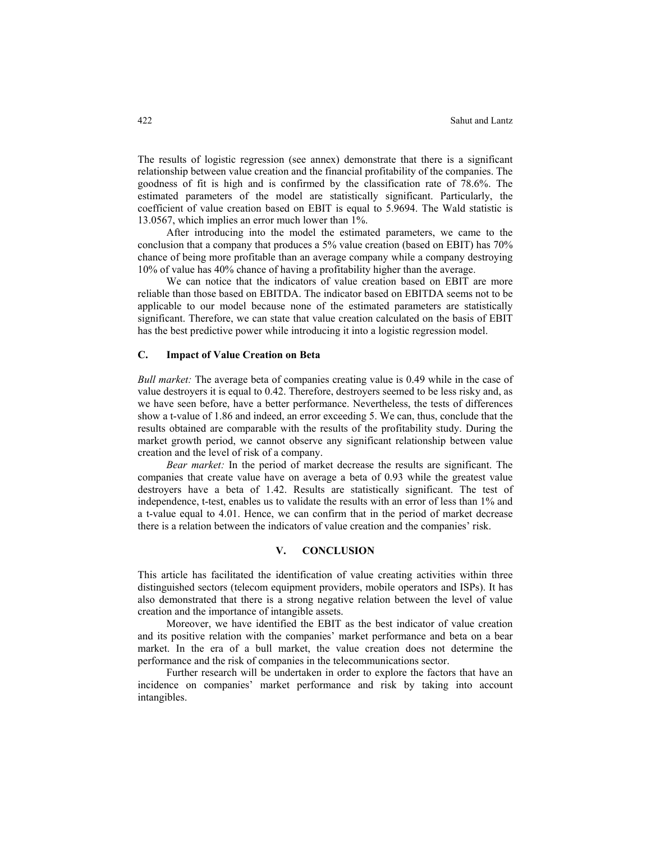The results of logistic regression (see annex) demonstrate that there is a significant relationship between value creation and the financial profitability of the companies. The goodness of fit is high and is confirmed by the classification rate of 78.6%. The estimated parameters of the model are statistically significant. Particularly, the coefficient of value creation based on EBIT is equal to 5.9694. The Wald statistic is 13.0567, which implies an error much lower than 1%.

After introducing into the model the estimated parameters, we came to the conclusion that a company that produces a 5% value creation (based on EBIT) has 70% chance of being more profitable than an average company while a company destroying 10% of value has 40% chance of having a profitability higher than the average.

We can notice that the indicators of value creation based on EBIT are more reliable than those based on EBITDA. The indicator based on EBITDA seems not to be applicable to our model because none of the estimated parameters are statistically significant. Therefore, we can state that value creation calculated on the basis of EBIT has the best predictive power while introducing it into a logistic regression model.

#### **C. Impact of Value Creation on Beta**

*Bull market:* The average beta of companies creating value is 0.49 while in the case of value destroyers it is equal to 0.42. Therefore, destroyers seemed to be less risky and, as we have seen before, have a better performance. Nevertheless, the tests of differences show a t-value of 1.86 and indeed, an error exceeding 5. We can, thus, conclude that the results obtained are comparable with the results of the profitability study. During the market growth period, we cannot observe any significant relationship between value creation and the level of risk of a company.

 *Bear market:* In the period of market decrease the results are significant. The companies that create value have on average a beta of 0.93 while the greatest value destroyers have a beta of 1.42. Results are statistically significant. The test of independence, t-test, enables us to validate the results with an error of less than 1% and a t-value equal to 4.01. Hence, we can confirm that in the period of market decrease there is a relation between the indicators of value creation and the companies' risk.

## **V. CONCLUSION**

This article has facilitated the identification of value creating activities within three distinguished sectors (telecom equipment providers, mobile operators and ISPs). It has also demonstrated that there is a strong negative relation between the level of value creation and the importance of intangible assets.

Moreover, we have identified the EBIT as the best indicator of value creation and its positive relation with the companies' market performance and beta on a bear market. In the era of a bull market, the value creation does not determine the performance and the risk of companies in the telecommunications sector.

Further research will be undertaken in order to explore the factors that have an incidence on companies' market performance and risk by taking into account intangibles.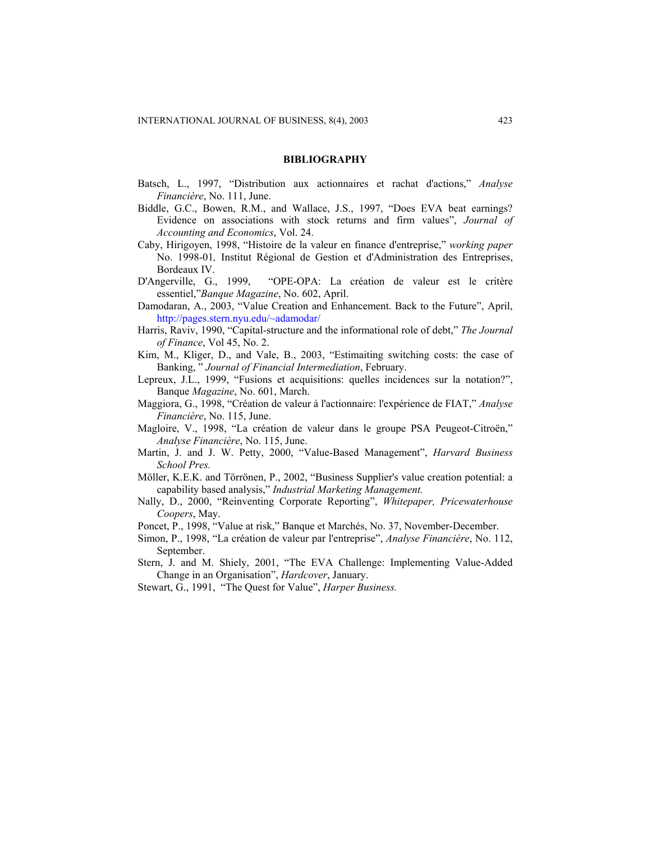#### **BIBLIOGRAPHY**

- Batsch, L., 1997, "Distribution aux actionnaires et rachat d'actions," *Analyse Financière*, No. 111, June.
- Biddle, G.C., Bowen, R.M., and Wallace, J.S., 1997, "Does EVA beat earnings? Evidence on associations with stock returns and firm values", *Journal of Accounting and Economics*, Vol. 24.
- Caby, Hirigoyen, 1998, "Histoire de la valeur en finance d'entreprise," *working paper*  No. 1998-01*,* Institut Régional de Gestion et d'Administration des Entreprises, Bordeaux IV.
- D'Angerville, G., 1999, "OPE-OPA: La création de valeur est le critère essentiel,"*Banque Magazine*, No. 602, April.
- Damodaran, A., 2003, "Value Creation and Enhancement. Back to the Future", April, <http://pages.stern.nyu.edu/~adamodar/>
- Harris, Raviv, 1990, "Capital-structure and the informational role of debt," *The Journal of Finance*, Vol 45, No. 2.
- Kim, M., Kliger, D., and Vale, B., 2003, "Estimaiting switching costs: the case of Banking, " *Journal of Financial Intermediation*, February.
- Lepreux, J.L., 1999, "Fusions et acquisitions: quelles incidences sur la notation?", Banque *Magazine*, No. 601, March.
- Maggiora, G., 1998, "Création de valeur à l'actionnaire: l'expérience de FIAT," *Analyse Financière*, No. 115, June.
- Magloire, V., 1998, "La création de valeur dans le groupe PSA Peugeot-Citroën," *Analyse Financière*, No. 115, June.
- Martin, J. and J. W. Petty, 2000, "Value-Based Management", *Harvard Business School Pres.*
- Möller, K.E.K. and Törrönen, P., 2002, "Business Supplier's value creation potential: a capability based analysis," *Industrial Marketing Management.*
- Nally, D., 2000, "Reinventing Corporate Reporting", *Whitepaper, Pricewaterhouse Coopers*, May.
- Poncet, P., 1998, "Value at risk," Banque et Marchés, No. 37, November-December.
- Simon, P., 1998, "La création de valeur par l'entreprise", *Analyse Financière*, No. 112, September.
- Stern, J. and M. Shiely, 2001, "The EVA Challenge: Implementing Value-Added Change in an Organisation", *Hardcover*, January.
- Stewart, G., 1991, "The Quest for Value", *Harper Business.*